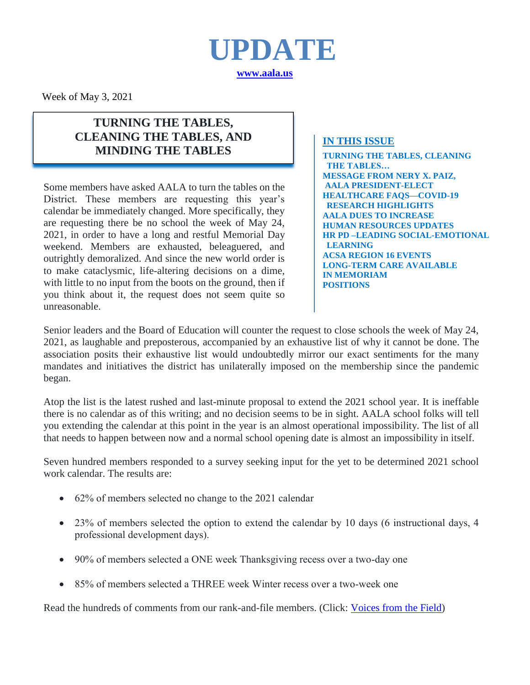

Week of May 3, 2021

### **TURNING THE TABLES, CLEANING THE TABLES, AND MINDING THE TABLES**

Some members have asked AALA to turn the tables on the District. These members are requesting this year's calendar be immediately changed. More specifically, they are requesting there be no school the week of May 24, 2021, in order to have a long and restful Memorial Day weekend. Members are exhausted, beleaguered, and outrightly demoralized. And since the new world order is to make cataclysmic, life-altering decisions on a dime, with little to no input from the boots on the ground, then if you think about it, the request does not seem quite so unreasonable.

### **IN THIS ISSUE**

**TURNING THE TABLES, CLEANING THE TABLES… MESSAGE FROM NERY X. PAIZ, AALA PRESIDENT-ELECT HEALTHCARE FAQS—COVID-19 RESEARCH HIGHLIGHTS AALA DUES TO INCREASE HUMAN RESOURCES UPDATES HR PD –LEADING SOCIAL-EMOTIONAL LEARNING ACSA REGION 16 EVENTS LONG-TERM CARE AVAILABLE IN MEMORIAM POSITIONS**

Senior leaders and the Board of Education will counter the request to close schools the week of May 24, 2021, as laughable and preposterous, accompanied by an exhaustive list of why it cannot be done. The association posits their exhaustive list would undoubtedly mirror our exact sentiments for the many mandates and initiatives the district has unilaterally imposed on the membership since the pandemic began.

Atop the list is the latest rushed and last-minute proposal to extend the 2021 school year. It is ineffable there is no calendar as of this writing; and no decision seems to be in sight. AALA school folks will tell you extending the calendar at this point in the year is an almost operational impossibility. The list of all that needs to happen between now and a normal school opening date is almost an impossibility in itself.

Seven hundred members responded to a survey seeking input for the yet to be determined 2021 school work calendar. The results are:

- 62% of members selected no change to the 2021 calendar
- 23% of members selected the option to extend the calendar by 10 days (6 instructional days, 4 professional development days).
- 90% of members selected a ONE week Thanksgiving recess over a two-day one
- 85% of members selected a THREE week Winter recess over a two-week one

Read the hundreds of comments from our rank-and-file members. (Click: [Voices from the Field\)](http://www.aala.us/docs/2021/04/VOICES-FROM-THE-FIELD.pdf)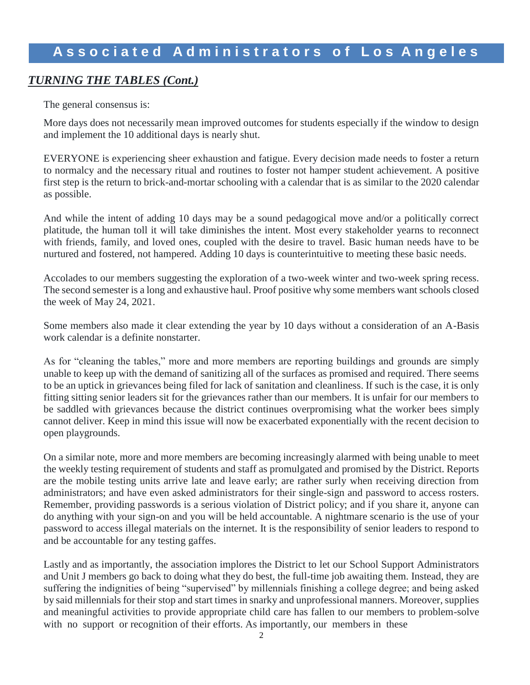### *TURNING THE TABLES (Cont.)*

The general consensus is:

More days does not necessarily mean improved outcomes for students especially if the window to design and implement the 10 additional days is nearly shut.

EVERYONE is experiencing sheer exhaustion and fatigue. Every decision made needs to foster a return to normalcy and the necessary ritual and routines to foster not hamper student achievement. A positive first step is the return to brick-and-mortar schooling with a calendar that is as similar to the 2020 calendar as possible.

And while the intent of adding 10 days may be a sound pedagogical move and/or a politically correct platitude, the human toll it will take diminishes the intent. Most every stakeholder yearns to reconnect with friends, family, and loved ones, coupled with the desire to travel. Basic human needs have to be nurtured and fostered, not hampered. Adding 10 days is counterintuitive to meeting these basic needs.

Accolades to our members suggesting the exploration of a two-week winter and two-week spring recess. The second semester is a long and exhaustive haul. Proof positive why some members want schools closed the week of May 24, 2021.

Some members also made it clear extending the year by 10 days without a consideration of an A-Basis work calendar is a definite nonstarter.

As for "cleaning the tables," more and more members are reporting buildings and grounds are simply unable to keep up with the demand of sanitizing all of the surfaces as promised and required. There seems to be an uptick in grievances being filed for lack of sanitation and cleanliness. If such is the case, it is only fitting sitting senior leaders sit for the grievances rather than our members. It is unfair for our members to be saddled with grievances because the district continues overpromising what the worker bees simply cannot deliver. Keep in mind this issue will now be exacerbated exponentially with the recent decision to open playgrounds.

On a similar note, more and more members are becoming increasingly alarmed with being unable to meet the weekly testing requirement of students and staff as promulgated and promised by the District. Reports are the mobile testing units arrive late and leave early; are rather surly when receiving direction from administrators; and have even asked administrators for their single-sign and password to access rosters. Remember, providing passwords is a serious violation of District policy; and if you share it, anyone can do anything with your sign-on and you will be held accountable. A nightmare scenario is the use of your password to access illegal materials on the internet. It is the responsibility of senior leaders to respond to and be accountable for any testing gaffes.

Lastly and as importantly, the association implores the District to let our School Support Administrators and Unit J members go back to doing what they do best, the full-time job awaiting them. Instead, they are suffering the indignities of being "supervised" by millennials finishing a college degree; and being asked by said millennials for their stop and start times in snarky and unprofessional manners. Moreover, supplies and meaningful activities to provide appropriate child care has fallen to our members to problem-solve with no support or recognition of their efforts. As importantly, our members in these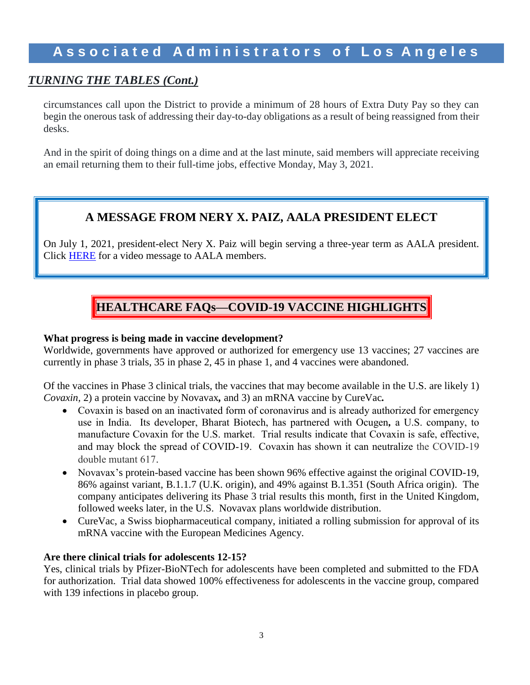### *TURNING THE TABLES (Cont.)*

circumstances call upon the District to provide a minimum of 28 hours of Extra Duty Pay so they can begin the onerous task of addressing their day-to-day obligations as a result of being reassigned from their desks.

And in the spirit of doing things on a dime and at the last minute, said members will appreciate receiving an email returning them to their full-time jobs, effective Monday, May 3, 2021.

### **A MESSAGE FROM NERY X. PAIZ, AALA PRESIDENT ELECT**

On July 1, 2021, president-elect Nery X. Paiz will begin serving a three-year term as AALA president. Click [HERE](https://drive.google.com/file/d/14t99DAnTpLKkR6-_8yeAWHtqVQ1lQcDH/view) for a video message to AALA members.

### **HEALTHCARE FAQs—COVID-19 VACCINE HIGHLIGHTS**

#### **What progress is being made in vaccine development?**

Worldwide, governments have approved or authorized for emergency use 13 vaccines; 27 vaccines are currently in phase 3 trials, 35 in phase 2, 45 in phase 1, and 4 vaccines were abandoned.

Of the vaccines in Phase 3 clinical trials, the vaccines that may become available in the U.S. are likely 1) *Covaxin,* 2) a protein vaccine by Novavax*,* and 3) an mRNA vaccine by CureVac*.* 

- Covaxin is based on an inactivated form of coronavirus and is already authorized for emergency use in India. Its developer, Bharat Biotech, has partnered with Ocugen*,* a U.S. company, to manufacture Covaxin for the U.S. market. Trial results indicate that Covaxin is safe, effective, and may block the spread of COVID-19. Covaxin has shown it can neutralize the COVID-19 double mutant 617.
- Novavax's protein-based vaccine has been shown 96% effective against the original COVID-19, 86% against variant, B.1.1.7 (U.K. origin), and 49% against B.1.351 (South Africa origin). The company anticipates delivering its Phase 3 trial results this month, first in the United Kingdom, followed weeks later, in the U.S. Novavax plans worldwide distribution.
- CureVac, a Swiss biopharmaceutical company, initiated a rolling submission for approval of its mRNA vaccine with the European Medicines Agency.

#### **Are there clinical trials for adolescents 12-15?**

Yes, clinical trials by Pfizer-BioNTech for adolescents have been completed and submitted to the FDA for authorization. Trial data showed 100% effectiveness for adolescents in the vaccine group, compared with 139 infections in placebo group.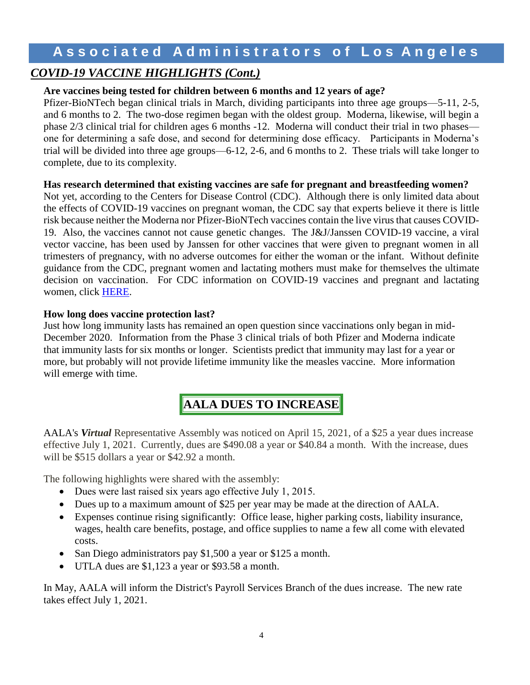### *COVID-19 VACCINE HIGHLIGHTS (Cont.)*

### **Are vaccines being tested for children between 6 months and 12 years of age?**

Pfizer-BioNTech began clinical trials in March, dividing participants into three age groups—5-11, 2-5, and 6 months to 2. The two-dose regimen began with the oldest group. Moderna, likewise, will begin a phase 2/3 clinical trial for children ages 6 months -12. Moderna will conduct their trial in two phases one for determining a safe dose, and second for determining dose efficacy. Participants in Moderna's trial will be divided into three age groups—6-12, 2-6, and 6 months to 2. These trials will take longer to complete, due to its complexity.

### **Has research determined that existing vaccines are safe for pregnant and breastfeeding women?**

Not yet, according to the Centers for Disease Control (CDC). Although there is only limited data about the effects of COVID-19 vaccines on pregnant woman, the CDC say that experts believe it there is little risk because neither the Moderna nor Pfizer-BioNTech vaccines contain the live virus that causes COVID-19. Also, the vaccines cannot not cause genetic changes. The J&J/Janssen COVID-19 vaccine, a viral vector vaccine, has been used by Janssen for other vaccines that were given to pregnant women in all trimesters of pregnancy, with no adverse outcomes for either the woman or the infant. Without definite guidance from the CDC, pregnant women and lactating mothers must make for themselves the ultimate decision on vaccination. For CDC information on COVID-19 vaccines and pregnant and lactating women, click [HERE.](https://www.cdc.gov/coronavirus/2019-ncov/vaccines/recommendations/pregnancy.html)

### **How long does vaccine protection last?**

Just how long immunity lasts has remained an open question since vaccinations only began in mid-December 2020. Information from the Phase 3 clinical trials of both Pfizer and Moderna indicate that immunity lasts for six months or longer. Scientists predict that immunity may last for a year or more, but probably will not provide lifetime immunity like the measles vaccine. More information will emerge with time.

### **AALA DUES TO INCREASE**

AALA's *Virtual* Representative Assembly was noticed on April 15, 2021, of a \$25 a year dues increase effective July 1, 2021. Currently, dues are \$490.08 a year or \$40.84 a month. With the increase, dues will be \$515 dollars a year or \$42.92 a month.

The following highlights were shared with the assembly:

- Dues were last raised six years ago effective July 1, 2015.
- Dues up to a maximum amount of \$25 per year may be made at the direction of AALA.
- Expenses continue rising significantly: Office lease, higher parking costs, liability insurance, wages, health care benefits, postage, and office supplies to name a few all come with elevated costs.
- San Diego administrators pay \$1,500 a year or \$125 a month.
- UTLA dues are \$1,123 a year or \$93.58 a month.

In May, AALA will inform the District's Payroll Services Branch of the dues increase. The new rate takes effect July 1, 2021.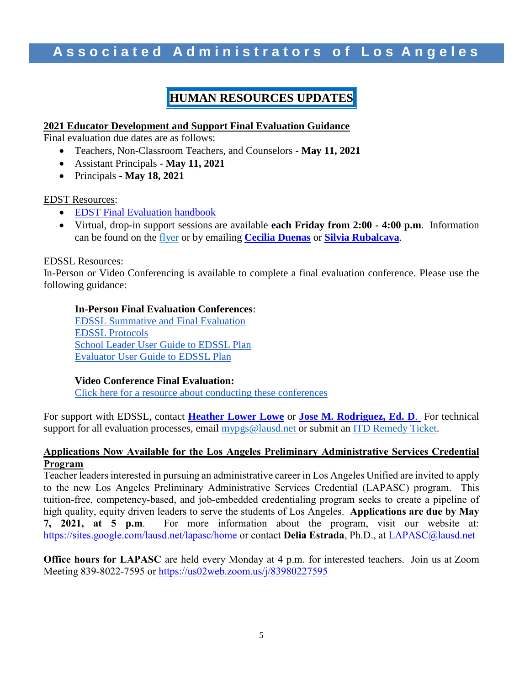### **HUMAN RESOURCES UPDATES**

#### **2021 Educator Development and Support Final Evaluation Guidance**

Final evaluation due dates are as follows:

- Teachers, Non-Classroom Teachers, and Counselors **May 11, 2021**
- Assistant Principals **May 11, 2021**
- Principals **May 18, 2021**

#### EDST Resources:

- [EDST Final Evaluation handbook](https://achieve.lausd.net/cms/lib/CA01000043/Centricity/Domain/433/EDS%20Final%20Eval%20Report%20Handbook.pdf)
- Virtual, drop-in support sessions are available **each Friday from 2:00 - 4:00 p.m**. Information can be found on the [flyer](https://achieve.lausd.net/cms/lib/CA01000043/Centricity/Domain/433/FridayFlyerDec2020.pdf) or by emailing **Cecilia [Duenas](mailto:cecilia.duenas@lausd.net)** or **[Silvia Rubalcava](mailto:sxr8628@lausd.net)**.

#### EDSSL Resources:

In-Person or Video Conferencing is available to complete a final evaluation conference. Please use the following guidance:

### **In-Person Final Evaluation Conferences**:

[EDSSL Summative and Final Evaluation](https://achieve.lausd.net/cms/lib/CA01000043/Centricity/Domain/434/EDSSL%20Summative%20and%20Final%20Evaluation.pdf) [EDSSL Protocols](http://achieve.lausd.net/cms/lib08/CA01000043/Centricity/Domain/434/EDSSL%20Protocols.pdf) [School Leader User Guide to EDSSL Plan](https://achieve.lausd.net/cms/lib08/CA01000043/Centricity/Domain/434/School%20Leaders-EDSSL%20User%20Guide.pdf) [Evaluator User Guide to EDSSL Plan](https://achieve.lausd.net/cms/lib08/CA01000043/Centricity/Domain/434/Evaluators-EDSSL%20User%20Guide.pdf)

#### **Video Conference Final Evaluation:**

[Click here for a resource about conducting these conferences](https://achieve.lausd.net/cms/lib/CA01000043/Centricity/Domain/434/Electronic-Sign-Off-of-Final-Eval_EDSSL.pdf)

For support with EDSSL, contact **[Heather Lower Lowe](mailto:hlowe@lausd.net)** or **[Jose M. Rodriguez, Ed. D](mailto:jmr7481@lausd.net)**. For technical support for all evaluation processes, email mypgs@lausd.net or submit an ITD Remedy Ticket.

#### **Applications Now Available for the Los Angeles Preliminary Administrative Services Credential Program**

Teacher leaders interested in pursuing an administrative career in Los Angeles Unified are invited to apply to the new Los Angeles Preliminary Administrative Services Credential (LAPASC) program. This tuition-free, competency-based, and job-embedded credentialing program seeks to create a pipeline of high quality, equity driven leaders to serve the students of Los Angeles. **Applications are due by May 7, 2021, at 5 p.m**. For more information about the program, visit our website at: <https://sites.google.com/lausd.net/lapasc/home> or contact **Delia Estrada**, Ph.D., at [LAPASC@lausd.net](mailto:LAPASC@lausd.net)

**Office hours for LAPASC** are held every Monday at 4 p.m. for interested teachers. Join us at Zoom Meeting 839-8022-7595 or<https://us02web.zoom.us/j/83980227595>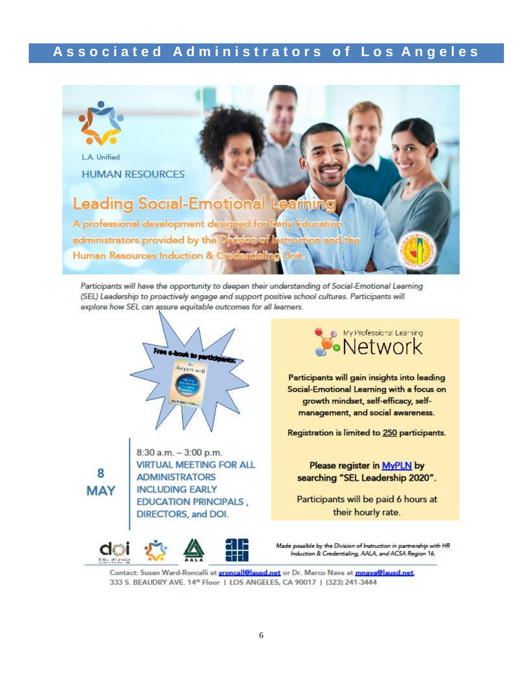

Participants will have the opportunity to deepen their understanding of Social-Emotional Learning (SEL) Leadership to proactively engage and support positive school cultures. Participants will explore how SEL can assure equitable outcomes for all learners.



8 **MAY** 

8:30 a.m. - 3:00 p.m. **VIRTUAL MEETING FOR ALL ADMINISTRATORS INCLUDING EARLY EDUCATION PRINCIPALS,** DIRECTORS, and DOI.



Participants will gain insights into leading Social-Emotional Learning with a focus on growth mindset, self-efficacy, selfmanagement, and social awareness.

Registration is limited to 250 participants.

Please register in MyPLN by searching "SEL Leadership 2020".

Participants will be paid 6 hours at their hourly rate.

Made possible by the Division of Instruction in partnership with HR Induction & Credentialing, AALA, and ACSA Region 16.

Contact: Susan Ward-Roncalli at **sroncall@lausd.net** or Dr. Marco Nava at **mnava@lausd.net**. 333 S. BEAUDRY AVE. 14th Floor | LOS ANGELES, CA 90017 | (323) 241-3444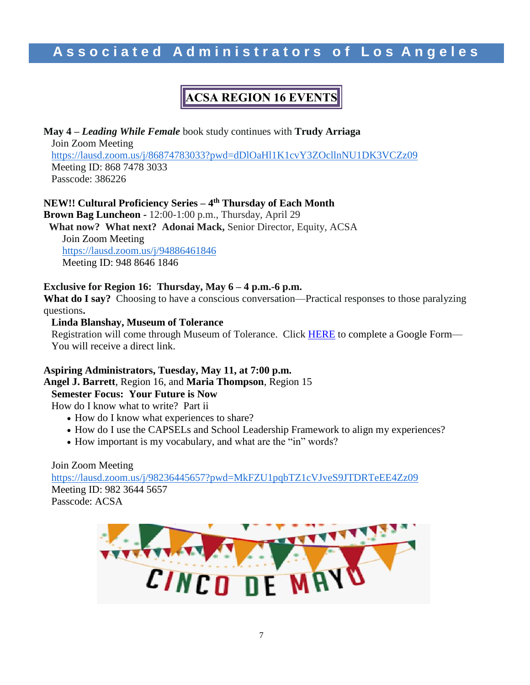# **ACSA REGION 16 EVENTS**

**May 4 –** *Leading While Female* book study continues with **Trudy Arriaga** Join Zoom Meeting [https://lausd.zoom.us/j/86874783033?pwd=dDlOaHl1K1cvY3ZOcllnNU1DK3VCZz09](https://nam03.safelinks.protection.outlook.com/?url=https%3A%2F%2Flausd.zoom.us%2Fj%2F86874783033%3Fpwd%3DdDlOaHl1K1cvY3ZOcllnNU1DK3VCZz09&data=04%7C01%7Cjuan.flecha%40lausd.net%7C12f555ae0fd54f30195308d909b13dc8%7C042a40a1b1284ac48648016ffa121487%7C0%7C0%7C637551479104823767%7CUnknown%7CTWFpbGZsb3d8eyJWIjoiMC4wLjAwMDAiLCJQIjoiV2luMzIiLCJBTiI6Ik1haWwiLCJXVCI6Mn0%3D%7C1000&sdata=nlPHvAdmEInfiVSow6vqCGkqEBS7y0dKlnYndJJsPJM%3D&reserved=0)  Meeting ID: 868 7478 3033 Passcode: 386226

### **NEW!! Cultural Proficiency Series – 4 th Thursday of Each Month**

**Brown Bag Luncheon -** 12:00-1:00 p.m., Thursday, April 29

**What now? What next? Adonai Mack,** Senior Director, Equity, ACSA Join Zoom Meeting

[https://lausd.zoom.us/j/94886461846](https://nam03.safelinks.protection.outlook.com/?url=https%3A%2F%2Flausd.zoom.us%2Fj%2F94886461846&data=04%7C01%7Cjuan.flecha%40lausd.net%7C12f555ae0fd54f30195308d909b13dc8%7C042a40a1b1284ac48648016ffa121487%7C0%7C0%7C637551479104823767%7CUnknown%7CTWFpbGZsb3d8eyJWIjoiMC4wLjAwMDAiLCJQIjoiV2luMzIiLCJBTiI6Ik1haWwiLCJXVCI6Mn0%3D%7C1000&sdata=HuJ0kIwTRTTKcDDBnD79x0Zik%2BlYT83W5u%2FIJ2m3REg%3D&reserved=0) Meeting ID: 948 8646 1846

### **Exclusive for Region 16: Thursday, May 6 – 4 p.m.-6 p.m.**

**What do I say?** Choosing to have a conscious conversation—Practical responses to those paralyzing questions**.** 

#### **Linda Blanshay, Museum of Tolerance**

Registration will come through Museum of Tolerance. Click **HERE** to complete a Google Form-You will receive a direct link.

### **Aspiring Administrators, Tuesday, May 11, at 7:00 p.m.**

**Angel J. Barrett**, Region 16, and **Maria Thompson**, Region 15

### **Semester Focus: Your Future is Now**

How do I know what to write? Part ii

- How do I know what experiences to share?
- How do I use the CAPSELs and School Leadership Framework to align my experiences?
- How important is my vocabulary, and what are the "in" words?

Join Zoom Meeting [https://lausd.zoom.us/j/98236445657?pwd=MkFZU1pqbTZ1cVJveS9JTDRTeEE4Zz09](https://nam03.safelinks.protection.outlook.com/?url=https%3A%2F%2Flausd.zoom.us%2Fj%2F98236445657%3Fpwd%3DMkFZU1pqbTZ1cVJveS9JTDRTeEE4Zz09&data=04%7C01%7Cjuan.flecha%40lausd.net%7C12f555ae0fd54f30195308d909b13dc8%7C042a40a1b1284ac48648016ffa121487%7C0%7C0%7C637551479104833759%7CUnknown%7CTWFpbGZsb3d8eyJWIjoiMC4wLjAwMDAiLCJQIjoiV2luMzIiLCJBTiI6Ik1haWwiLCJXVCI6Mn0%3D%7C1000&sdata=94S086QhxHQF3Ob33qiKun2kQkRArVND09jwUy%2BBUeI%3D&reserved=0)  Meeting ID: 982 3644 5657 Passcode: ACSA

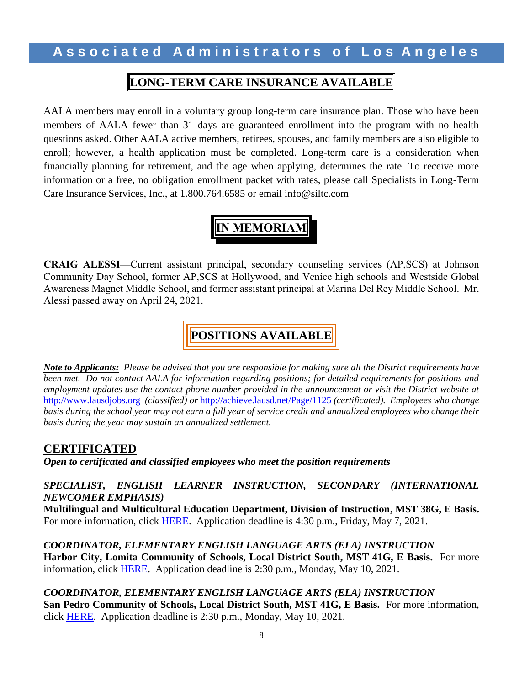### **LONG-TERM CARE INSURANCE AVAILABLE**

AALA members may enroll in a voluntary group long-term care insurance plan. Those who have been members of AALA fewer than 31 days are guaranteed enrollment into the program with no health questions asked. Other AALA active members, retirees, spouses, and family members are also eligible to enroll; however, a health application must be completed. Long-term care is a consideration when financially planning for retirement, and the age when applying, determines the rate. To receive more information or a free, no obligation enrollment packet with rates, please call Specialists in Long-Term Care Insurance Services, Inc., at 1.800.764.6585 or email info@siltc.com

# **IN MEMORIAM**

**CRAIG ALESSI—**Current assistant principal, secondary counseling services (AP,SCS) at Johnson Community Day School, former AP,SCS at Hollywood, and Venice high schools and Westside Global Awareness Magnet Middle School, and former assistant principal at Marina Del Rey Middle School. Mr. Alessi passed away on April 24, 2021.

# **POSITIONS AVAILABLE**

*Note to Applicants: Please be advised that you are responsible for making sure all the District requirements have been met. Do not contact AALA for information regarding positions; for detailed requirements for positions and employment updates use the contact phone number provided in the announcement or visit the District website at*  [http://www.lausdjobs.org](http://www.lausdjobs.org/) *(classified) or* <http://achieve.lausd.net/Page/1125> *(certificated). Employees who change basis during the school year may not earn a full year of service credit and annualized employees who change their basis during the year may sustain an annualized settlement.* 

### **CERTIFICATED**

*Open to certificated and classified employees who meet the position requirements*

### *SPECIALIST, ENGLISH LEARNER INSTRUCTION, SECONDARY (INTERNATIONAL NEWCOMER EMPHASIS)*

**Multilingual and Multicultural Education Department, Division of Instruction, MST 38G, E Basis.**  For more information, click [HERE.](https://achieve.lausd.net/cms/lib/CA01000043/Centricity/Domain/229/Spt_EngLrnInstrSec-INE_MMED.pdf) Application deadline is 4:30 p.m., Friday, May 7, 2021.

*COORDINATOR, ELEMENTARY ENGLISH LANGUAGE ARTS (ELA) INSTRUCTION* **Harbor City, Lomita Community of Schools, Local District South, MST 41G, E Basis.** For more information, click [HERE.](https://achieve.lausd.net/cms/lib/CA01000043/Centricity/Domain/229/Crd_ElemELAInstrc_LDSouth_HarborCity_LomitaCoS.pdf) Application deadline is 2:30 p.m., Monday, May 10, 2021.

*COORDINATOR, ELEMENTARY ENGLISH LANGUAGE ARTS (ELA) INSTRUCTION* **San Pedro Community of Schools, Local District South, MST 41G, E Basis.** For more information, click [HERE.](https://achieve.lausd.net/cms/lib/CA01000043/Centricity/Domain/229/Crd_ElemELAInstrc_LDSouth_SanPedro-CoS.pdf) Application deadline is 2:30 p.m., Monday, May 10, 2021.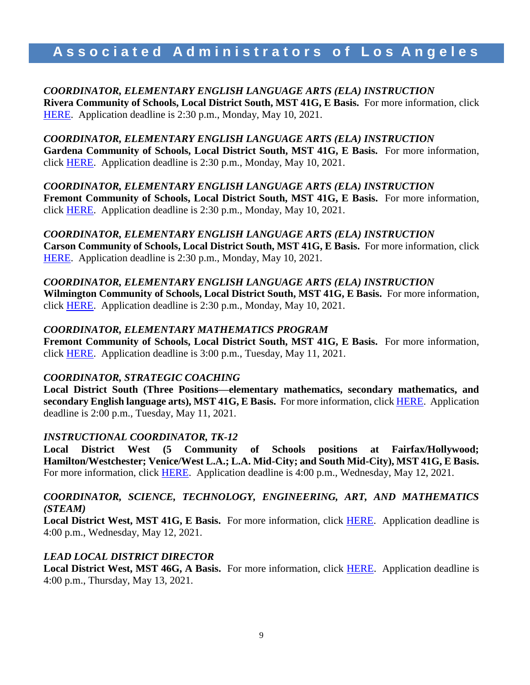*COORDINATOR, ELEMENTARY ENGLISH LANGUAGE ARTS (ELA) INSTRUCTION* **Rivera Community of Schools, Local District South, MST 41G, E Basis.** For more information, click [HERE.](https://achieve.lausd.net/cms/lib/CA01000043/Centricity/Domain/229/Crd_ElemELAInstrc-LDSouth_Rivera-CoS.pdf) Application deadline is 2:30 p.m., Monday, May 10, 2021.

*COORDINATOR, ELEMENTARY ENGLISH LANGUAGE ARTS (ELA) INSTRUCTION* **Gardena Community of Schools, Local District South, MST 41G, E Basis.** For more information, click [HERE.](https://achieve.lausd.net/cms/lib/CA01000043/Centricity/Domain/229/Crd_ElemELAInstrc_LDSouth_GardenaCoS.pdf) Application deadline is 2:30 p.m., Monday, May 10, 2021.

*COORDINATOR, ELEMENTARY ENGLISH LANGUAGE ARTS (ELA) INSTRUCTION* **Fremont Community of Schools, Local District South, MST 41G, E Basis.** For more information, click [HERE.](https://achieve.lausd.net/cms/lib/CA01000043/Centricity/Domain/229/Crd_ElemELAInstrc_LDSouth_FremontCoS.pdf) Application deadline is 2:30 p.m., Monday, May 10, 2021.

*COORDINATOR, ELEMENTARY ENGLISH LANGUAGE ARTS (ELA) INSTRUCTION*

**Carson Community of Schools, Local District South, MST 41G, E Basis.** For more information, click [HERE.](https://achieve.lausd.net/cms/lib/CA01000043/Centricity/Domain/229/Crd_ElemELAInstrc_LDSouth_CarsonCoS.pdf) Application deadline is 2:30 p.m., Monday, May 10, 2021.

*COORDINATOR, ELEMENTARY ENGLISH LANGUAGE ARTS (ELA) INSTRUCTION* **Wilmington Community of Schools, Local District South, MST 41G, E Basis.** For more information, click [HERE.](https://achieve.lausd.net/cms/lib/CA01000043/Centricity/Domain/229/Crd_ElemELAInstrc_LDSouth_WilmingtonCoS.pdf) Application deadline is 2:30 p.m., Monday, May 10, 2021.

#### *COORDINATOR, ELEMENTARY MATHEMATICS PROGRAM*

**Fremont Community of Schools, Local District South, MST 41G, E Basis.** For more information, click [HERE.](https://achieve.lausd.net/cms/lib/CA01000043/Centricity/Domain/229/Crd_ElemMathPgm_LDS_FremontCoS.pdf) Application deadline is 3:00 p.m., Tuesday, May 11, 2021.

#### *COORDINATOR, STRATEGIC COACHING*

**Local District South (Three Positions—elementary mathematics, secondary mathematics, and secondary English language arts), MST 41G, E Basis.** For more information, click [HERE.](https://achieve.lausd.net/cms/lib/CA01000043/Centricity/Domain/229/Crd_StrategicCoaching-LDSouth.pdf) Application deadline is 2:00 p.m., Tuesday, May 11, 2021.

#### *INSTRUCTIONAL COORDINATOR, TK-12*

**Local District West (5 Community of Schools positions at Fairfax/Hollywood; Hamilton/Westchester; Venice/West L.A.; L.A. Mid-City; and South Mid-City), MST 41G, E Basis.**  For more information, click [HERE.](https://achieve.lausd.net/cms/lib/CA01000043/Centricity/Domain/229/Crd_InstTK-12_LDWest.pdf) Application deadline is 4:00 p.m., Wednesday, May 12, 2021.

### *COORDINATOR, SCIENCE, TECHNOLOGY, ENGINEERING, ART, AND MATHEMATICS (STEAM)*

**Local District West, MST 41G, E Basis.** For more information, click [HERE.](https://achieve.lausd.net/cms/lib/CA01000043/Centricity/Domain/229/Crd_STEAM_LDWest.pdf) Application deadline is 4:00 p.m., Wednesday, May 12, 2021.

### *LEAD LOCAL DISTRICT DIRECTOR*

**Local District West, MST 46G, A Basis.** For more information, click [HERE.](https://achieve.lausd.net/cms/lib/CA01000043/Centricity/Domain/229/Dir_Lead%20LD_LDWest.pdf) Application deadline is 4:00 p.m., Thursday, May 13, 2021.